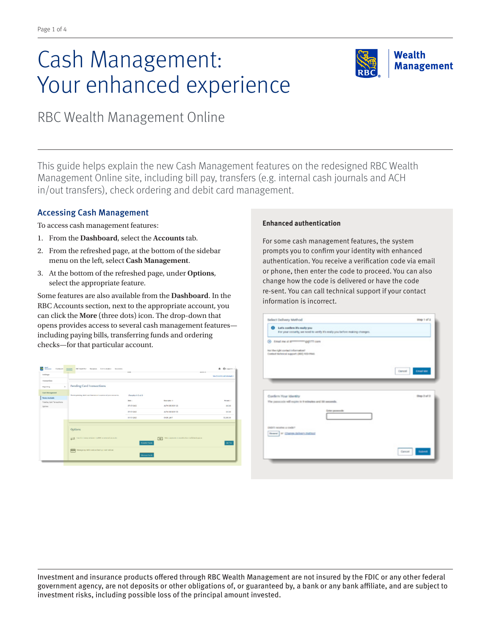# Cash Management: Your enhanced experience



RBC Wealth Management Online

This guide helps explain the new Cash Management features on the redesigned RBC Wealth Management Online site, including bill pay, transfers (e.g. internal cash journals and ACH in/out transfers), check ordering and debit card management.

## Accessing Cash Management

To access cash management features:

- 1. From the **Dashboard**, select the **Accounts** tab.
- 2. From the refreshed page, at the bottom of the sidebar menu on the left, select **Cash Management**.
- 3. At the bottom of the refreshed page, under **Options**, select the appropriate feature.

Some features are also available from the **Dashboard**. In the RBC Accounts section, next to the appropriate account, you can click the **More** (three dots) icon. The drop-down that opens provides access to several cash management features including paying bills, transferring funds and ordering checks—for that particular account.



### **Enhanced authentication**

For some cash management features, the system prompts you to confirm your identity with enhanced authentication. You receive a verification code via email or phone, then enter the code to proceed. You can also change how the code is delivered or have the code re-sent. You can call technical support if your contact information is incorrect.

| Select Delivery Method                                                                                                | step 1 of 2                |
|-----------------------------------------------------------------------------------------------------------------------|----------------------------|
| <b>Q</b> Lef's confirm it's really you<br>For your cecurity, we need to verify it's really you before making changes. |                            |
| @ treat me at arrest any gap to com-                                                                                  |                            |
| Not the right contact information?<br>Contect Inclusion support (800) 933-9946                                        |                            |
|                                                                                                                       | <b>Email Mr.</b><br>Cannel |
|                                                                                                                       |                            |
|                                                                                                                       |                            |
|                                                                                                                       |                            |
|                                                                                                                       | Shep 2 of 2                |
| Confirm Your Identity<br>The passurade will expire in 9 minutes and 35 seconds.<br>Lotar permonds                     |                            |
|                                                                                                                       |                            |
| News: M. Change School Publicat                                                                                       |                            |
| Didn't receive a code?                                                                                                | <b>Sales</b><br>dancer -   |

Investment and insurance products offered through RBC Wealth Management are not insured by the FDIC or any other federal government agency, are not deposits or other obligations of, or guaranteed by, a bank or any bank affiliate, and are subject to investment risks, including possible loss of the principal amount invested.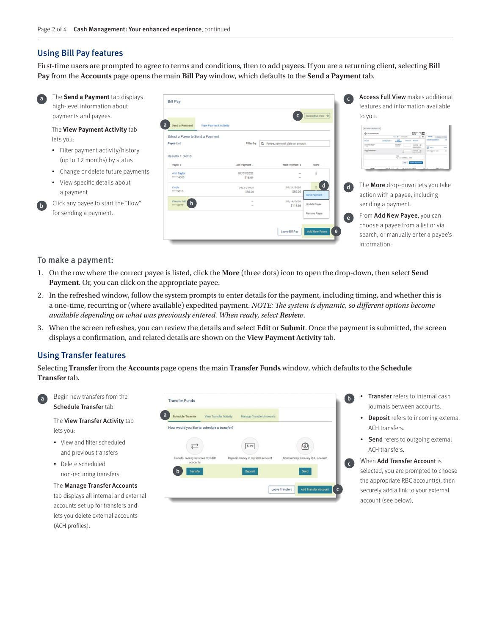a

**Bill Pay** 

Send a Pa Select a Payee to Send a I Payee List

Results 1-3 of 3

b

## Using Bill Pay features

First-time users are prompted to agree to terms and conditions, then to add payees. If you are a returning client, selecting **Bill Pay** from the **Accounts** page opens the main **Bill Pay** window, which defaults to the **Send a Payment** tab.

Filter by Q Pa

**618.00** \$80.00



The **Send a Payment** tab displays high-level information about payments and payees.

The **View Payment Activity** tab lets you:

- Filter payment activity/history (up to 12 months) by status
- Change or delete future payments
- • View specific details about a payment
- Click any payee to start the "flow" for sending a payment.

#### To make a payment:

- 1. On the row where the correct payee is listed, click the **More** (three dots) icon to open the drop-down, then select **Send Payment**. Or, you can click on the appropriate payee.
- 2. In the refreshed window, follow the system prompts to enter details for the payment, including timing, and whether this is a one-time, recurring or (where available) expedited payment. *NOTE: The system is dynamic, so different options become available depending on what was previously entered. When ready, select Review*.
- 3. When the screen refreshes, you can review the details and select **Edit** or **Submit**. Once the payment is submitted, the screen displays a confirmation, and related details are shown on the **View Payment Activity** tab.

## Using Transfer features

Selecting **Transfer** from the **Accounts** page opens the main **Transfer Funds** window, which defaults to the **Schedule Transfer** tab.



b

Schedule Transfer tab.

The View Transfer Activity tab lets you:

- • View and filter scheduled and previous transfers
- Delete scheduled non-recurring transfers

The Manage Transfer Accounts tab displays all internal and external accounts set up for transfers and lets you delete external accounts (ACH profiles).



Transfer refers to internal cash journals between accounts.

Access Full View makes additional features and information available

The **More** drop-down lets you take action with a payee, including

From Add New Payee, you can choose a payee from a list or via search, or manually enter a payee's

sending a payment.

information.

to you.

c

 $\begin{array}{|c|c|}\n\hline\n\end{array}$  Access Full View  $\begin{array}{c}\hline\n\end{array}$ 

e

e

d

d

- Deposit refers to incoming external ACH transfers.
- Send refers to outgoing external ACH transfers.

When Add Transfer Account is selected, you are prompted to choose the appropriate RBC account(s), then securely add a link to your external account (see below).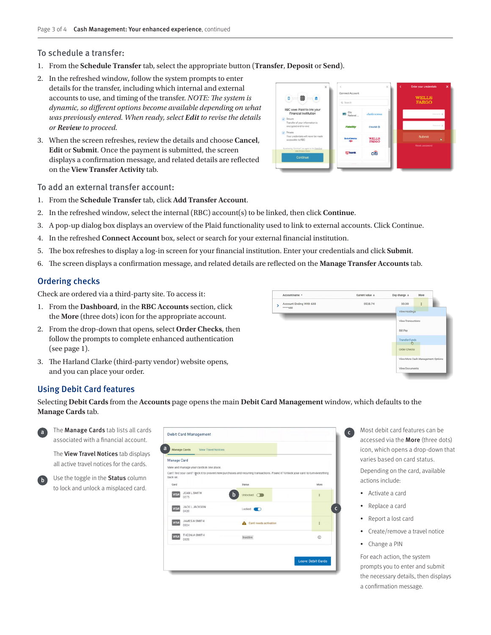#### To schedule a transfer:

- 1. From the **Schedule Transfer** tab, select the appropriate button (**Transfer**, **Deposit** or **Send**).
- 2. In the refreshed window, follow the system prompts to enter details for the transfer, including which internal and external accounts to use, and timing of the transfer. *NOTE: The system is dynamic, so different options become available depending on what was previously entered. When ready, select Edit to revise the details or Review to proceed.*
- 3. When the screen refreshes, review the details and choose **Cancel**, **Edit** or **Submit**. Once the payment is submitted, the screen displays a confirmation message, and related details are reflected on the **View Transfer Activity** tab.



#### To add an external transfer account:

- 1. From the **Schedule Transfer** tab, click **Add Transfer Account**.
- 2. In the refreshed window, select the internal (RBC) account(s) to be linked, then click **Continue**.
- 3. A pop-up dialog box displays an overview of the Plaid functionality used to link to external accounts. Click Continue.
- 4. In the refreshed **Connect Account** box, select or search for your external financial institution.
- 5. The box refreshes to display a log-in screen for your financial institution. Enter your credentials and click **Submit**.
- 6. The screen displays a confirmation message, and related details are reflected on the **Manage Transfer Accounts** tab.

#### Ordering checks

Check are ordered via a third-party site. To access it:

- 1. From the **Dashboard**, in the **RBC Accounts** section, click the **More** (three dots) icon for the appropriate account.
- 2. From the drop-down that opens, select **Order Checks**, then follow the prompts to complete enhanced authentication (see page 1).
- 3. The Harland Clarke (third-party vendor) website opens, and you can place your order.



## Using Debit Card features

Selecting **Debit Cards** from the **Accounts** page opens the main **Debit Card Management** window, which defaults to the **Manage Cards** tab.





| The <b>Manage Cards</b> tab lists all cards<br>associated with a financial account. | <b>Debit Card Management</b>                                                                               |                                                                                                                                                   |                          |
|-------------------------------------------------------------------------------------|------------------------------------------------------------------------------------------------------------|---------------------------------------------------------------------------------------------------------------------------------------------------|--------------------------|
| The View Travel Notices tab displays<br>all active travel notices for the cards.    | a<br>Manage Cards<br><b>View Travel Notices</b><br>Manage Card<br>View and manage your cards in one place. |                                                                                                                                                   |                          |
| Use the toggle in the Status column<br>$\mathbf{b}$                                 | back on.<br>Card                                                                                           | Can't find your card? Inck it to prevent new purchases and recurring transactions. Found it? Unlock your card to turn everything<br><b>Status</b> | More                     |
| to lock and unlock a misplaced card.                                                | JEAN L SMITH<br><b>VISA</b><br>0275                                                                        | Unlocked O<br>h                                                                                                                                   |                          |
|                                                                                     | <b>JACK L JACKSON</b><br><b>VISA</b><br>0420                                                               | Locked<br>$\blacksquare$                                                                                                                          |                          |
|                                                                                     | JAMES A SMITH<br>VISA<br>0324                                                                              | Card needs activation                                                                                                                             |                          |
|                                                                                     | THEON A SMITH<br><b>VISA</b><br>0320                                                                       | Inactive                                                                                                                                          | ⋒                        |
|                                                                                     |                                                                                                            |                                                                                                                                                   | <b>Leave Debit Cards</b> |
|                                                                                     |                                                                                                            |                                                                                                                                                   |                          |

- Most debit card features can be accessed via the More (three dots) icon, which opens a drop-down that varies based on card status. Depending on the card, available actions include:
	- Activate a card
	- Replace a card
	- Report a lost card
	- Create/remove a travel notice
	- Change a PIN

For each action, the system prompts you to enter and submit the necessary details, then displays a confirmation message.